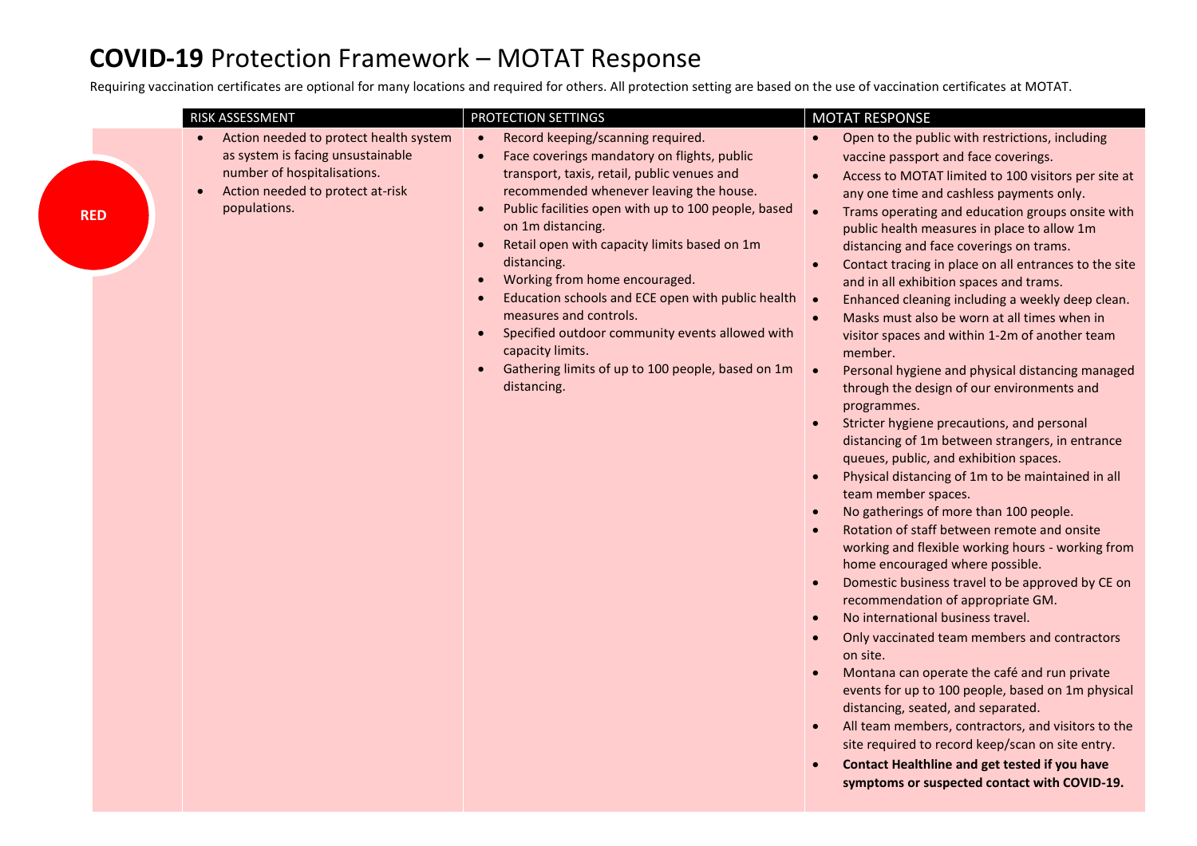## **COVID-19** Protection Framework – MOTAT Response

Requiring vaccination certificates are optional for many locations and required for others. All protection setting are based on the use of vaccination certificates at MOTAT.

| Action needed to protect health system<br>Record keeping/scanning required.<br>Open to the public with restrictions, including<br>$\bullet$<br>$\bullet$<br>as system is facing unsustainable<br>Face coverings mandatory on flights, public<br>vaccine passport and face coverings.<br>number of hospitalisations.<br>transport, taxis, retail, public venues and<br>Access to MOTAT limited to 100 visitors per site at<br>$\bullet$<br>Action needed to protect at-risk<br>recommended whenever leaving the house.<br>$\bullet$<br>any one time and cashless payments only.<br>populations.<br>Public facilities open with up to 100 people, based<br>Trams operating and education groups onsite with<br>$\bullet$<br><b>RED</b><br>on 1m distancing.<br>public health measures in place to allow 1m<br>Retail open with capacity limits based on 1m<br>distancing and face coverings on trams.<br>distancing.<br>Contact tracing in place on all entrances to the site<br>Working from home encouraged.<br>and in all exhibition spaces and trams.<br>Education schools and ECE open with public health<br>Enhanced cleaning including a weekly deep clean.<br>$\bullet$<br>measures and controls.<br>Masks must also be worn at all times when in<br>$\bullet$<br>Specified outdoor community events allowed with<br>visitor spaces and within 1-2m of another team<br>capacity limits.<br>member.<br>Gathering limits of up to 100 people, based on 1m<br>$\bullet$<br>Personal hygiene and physical distancing managed<br>distancing.<br>through the design of our environments and<br>programmes.<br>Stricter hygiene precautions, and personal<br>distancing of 1m between strangers, in entrance<br>queues, public, and exhibition spaces.<br>Physical distancing of 1m to be maintained in all<br>$\bullet$<br>team member spaces.<br>No gatherings of more than 100 people.<br>Rotation of staff between remote and onsite<br>working and flexible working hours - working from<br>home encouraged where possible.<br>Domestic business travel to be approved by CE on<br>$\bullet$<br>recommendation of appropriate GM.<br>No international business travel.<br>$\bullet$<br>Only vaccinated team members and contractors<br>$\bullet$<br>on site.<br>Montana can operate the café and run private<br>events for up to 100 people, based on 1m physical<br>distancing, seated, and separated.<br>All team members, contractors, and visitors to the<br>$\bullet$<br>site required to record keep/scan on site entry.<br>Contact Healthline and get tested if you have | <b>RISK ASSESSMENT</b> | <b>PROTECTION SETTINGS</b> | <b>MOTAT RESPONSE</b> |
|-------------------------------------------------------------------------------------------------------------------------------------------------------------------------------------------------------------------------------------------------------------------------------------------------------------------------------------------------------------------------------------------------------------------------------------------------------------------------------------------------------------------------------------------------------------------------------------------------------------------------------------------------------------------------------------------------------------------------------------------------------------------------------------------------------------------------------------------------------------------------------------------------------------------------------------------------------------------------------------------------------------------------------------------------------------------------------------------------------------------------------------------------------------------------------------------------------------------------------------------------------------------------------------------------------------------------------------------------------------------------------------------------------------------------------------------------------------------------------------------------------------------------------------------------------------------------------------------------------------------------------------------------------------------------------------------------------------------------------------------------------------------------------------------------------------------------------------------------------------------------------------------------------------------------------------------------------------------------------------------------------------------------------------------------------------------------------------------------------------------------------------------------------------------------------------------------------------------------------------------------------------------------------------------------------------------------------------------------------------------------------------------------------------------------------------------------------------------------------------------------------------------------------------------------------------------------------------|------------------------|----------------------------|-----------------------|
| symptoms or suspected contact with COVID-19.                                                                                                                                                                                                                                                                                                                                                                                                                                                                                                                                                                                                                                                                                                                                                                                                                                                                                                                                                                                                                                                                                                                                                                                                                                                                                                                                                                                                                                                                                                                                                                                                                                                                                                                                                                                                                                                                                                                                                                                                                                                                                                                                                                                                                                                                                                                                                                                                                                                                                                                                        |                        |                            |                       |